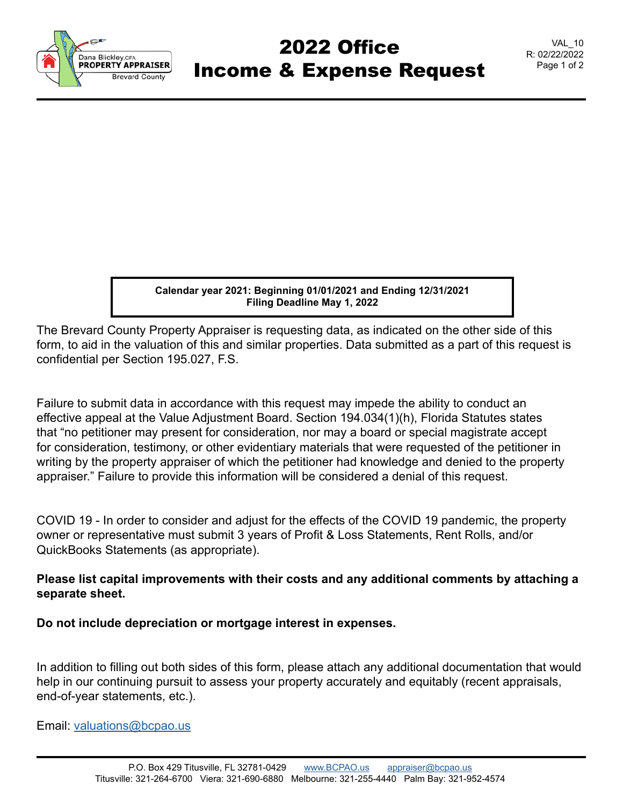

## 2022 Office Income & Expense Request

**Calendar year 2021: Beginning 01/01/2021 and Ending 12/31/2021 Filing Deadline May 1, 2022**

The Brevard County Property Appraiser is requesting data, as indicated on the other side of this form, to aid in the valuation of this and similar properties. Data submitted as a part of this request is confidential per Section 195.027, F.S.

Failure to submit data in accordance with this request may impede the ability to conduct an effective appeal at the Value Adjustment Board. Section 194.034(1)(h), Florida Statutes states that "no petitioner may present for consideration, nor may a board or special magistrate accept for consideration, testimony, or other evidentiary materials that were requested of the petitioner in writing by the property appraiser of which the petitioner had knowledge and denied to the property appraiser." Failure to provide this information will be considered a denial of this request.

COVID 19 - In order to consider and adjust for the effects of the COVID 19 pandemic, the property owner or representative must submit 3 years of Profit & Loss Statements, Rent Rolls, and/or QuickBooks Statements (as appropriate).

## **Please list capital improvements with their costs and any additional comments by attaching a separate sheet.**

**Do not include depreciation or mortgage interest in expenses.**

In addition to filling out both sides of this form, please attach any additional documentation that would help in our continuing pursuit to assess your property accurately and equitably (recent appraisals, end-of-year statements, etc.).

Email: [valuations@bcpao.us](mailto: valuations@bcpao.us)